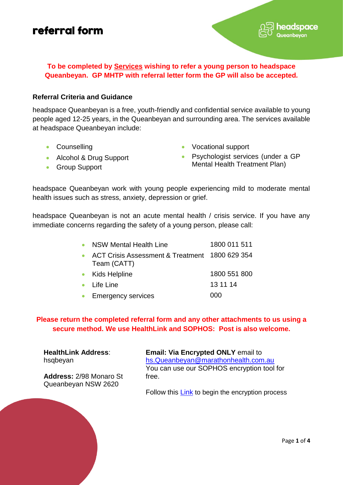#### **To be completed by Services wishing to refer a young person to headspace Queanbeyan. GP MHTP with referral letter form the GP will also be accepted***.*

#### **Referral Criteria and Guidance**

headspace Queanbeyan is a free, youth-friendly and confidential service available to young people aged 12-25 years, in the Queanbeyan and surrounding area. The services available at headspace Queanbeyan include:

- 
- Counselling  **Counselling Counselling Vocational support** 
	- Psychologist services (under a GP Mental Health Treatment Plan)

eadspace

• Group Support

• Alcohol & Drug Support

headspace Queanbeyan work with young people experiencing mild to moderate mental health issues such as stress, anxiety, depression or grief.

headspace Queanbeyan is not an acute mental health / crisis service. If you have any immediate concerns regarding the safety of a young person, please call:

| NSW Mental Health Line                                        | 1800 011 511 |
|---------------------------------------------------------------|--------------|
| ACT Crisis Assessment & Treatment 1800 629 354<br>Team (CATT) |              |
| • Kids Helpline                                               | 1800 551 800 |
| $\bullet$ Life Line                                           | 13 11 14     |
| • Emergency services                                          | იიი          |

**Please return the completed referral form and any other attachments to us using a secure method. We use HealthLink and SOPHOS: Post is also welcome.**

**HealthLink Address**: hsqbeyan

**Address:** 2/98 Monaro St Queanbeyan NSW 2620

**Email: Via Encrypted ONLY** email to [hs.Queanbeyan@marathonhealth.com.au](mailto:hs.Queanbeyan@marathonhealth.com.au) You can use our SOPHOS encryption tool for free.

Follow this **Link** to begin the encryption process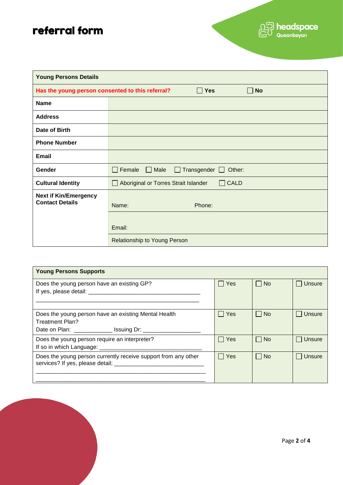| <b>Young Persons Details</b>                           |                                                                             |  |  |  |  |
|--------------------------------------------------------|-----------------------------------------------------------------------------|--|--|--|--|
|                                                        | Has the young person consented to this referral?<br>$\Box$ Yes<br>$\Box$ No |  |  |  |  |
| <b>Name</b>                                            |                                                                             |  |  |  |  |
| <b>Address</b>                                         |                                                                             |  |  |  |  |
| Date of Birth                                          |                                                                             |  |  |  |  |
| <b>Phone Number</b>                                    |                                                                             |  |  |  |  |
| <b>Email</b>                                           |                                                                             |  |  |  |  |
| Gender                                                 | Transgender $\Box$<br>Female<br>Male<br>Other:<br>$\mathbf{1}$<br>$\Box$    |  |  |  |  |
| <b>Cultural Identity</b>                               | $\Box$ CALD<br>Aboriginal or Torres Strait Islander                         |  |  |  |  |
| <b>Next if Kin/Emergency</b><br><b>Contact Details</b> | Name:<br>Phone:                                                             |  |  |  |  |
|                                                        | Email:                                                                      |  |  |  |  |
|                                                        | <b>Relationship to Young Person</b>                                         |  |  |  |  |

| <b>Young Persons Supports</b>                                                  |            |           |               |  |
|--------------------------------------------------------------------------------|------------|-----------|---------------|--|
| Does the young person have an existing GP?                                     | Yes        | $\Box$ No | <b>Unsure</b> |  |
| Does the young person have an existing Mental Health<br><b>Treatment Plan?</b> | $\Box$ Yes | $\Box$ No | <b>Unsure</b> |  |
| Does the young person require an interpreter?                                  | l Yes      | No        | <b>Unsure</b> |  |
| Does the young person currently receive support from any other                 | Yes        | No        | Unsure        |  |

02 headspace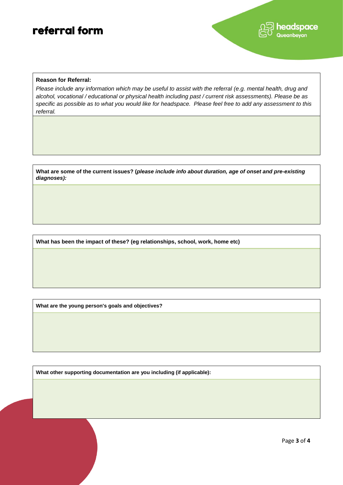

#### **Reason for Referral:**

*Please include any information which may be useful to assist with the referral (e.g. mental health, drug and alcohol, vocational / educational or physical health including past / current risk assessments). Please be as specific as possible as to what you would like for headspace. Please feel free to add any assessment to this referral.* 

**What are some of the current issues? (***please include info about duration, age of onset and pre-existing diagnoses):* 

**What has been the impact of these? (eg relationships, school, work, home etc)**

**What are the young person's goals and objectives?**

**What other supporting documentation are you including (if applicable):**